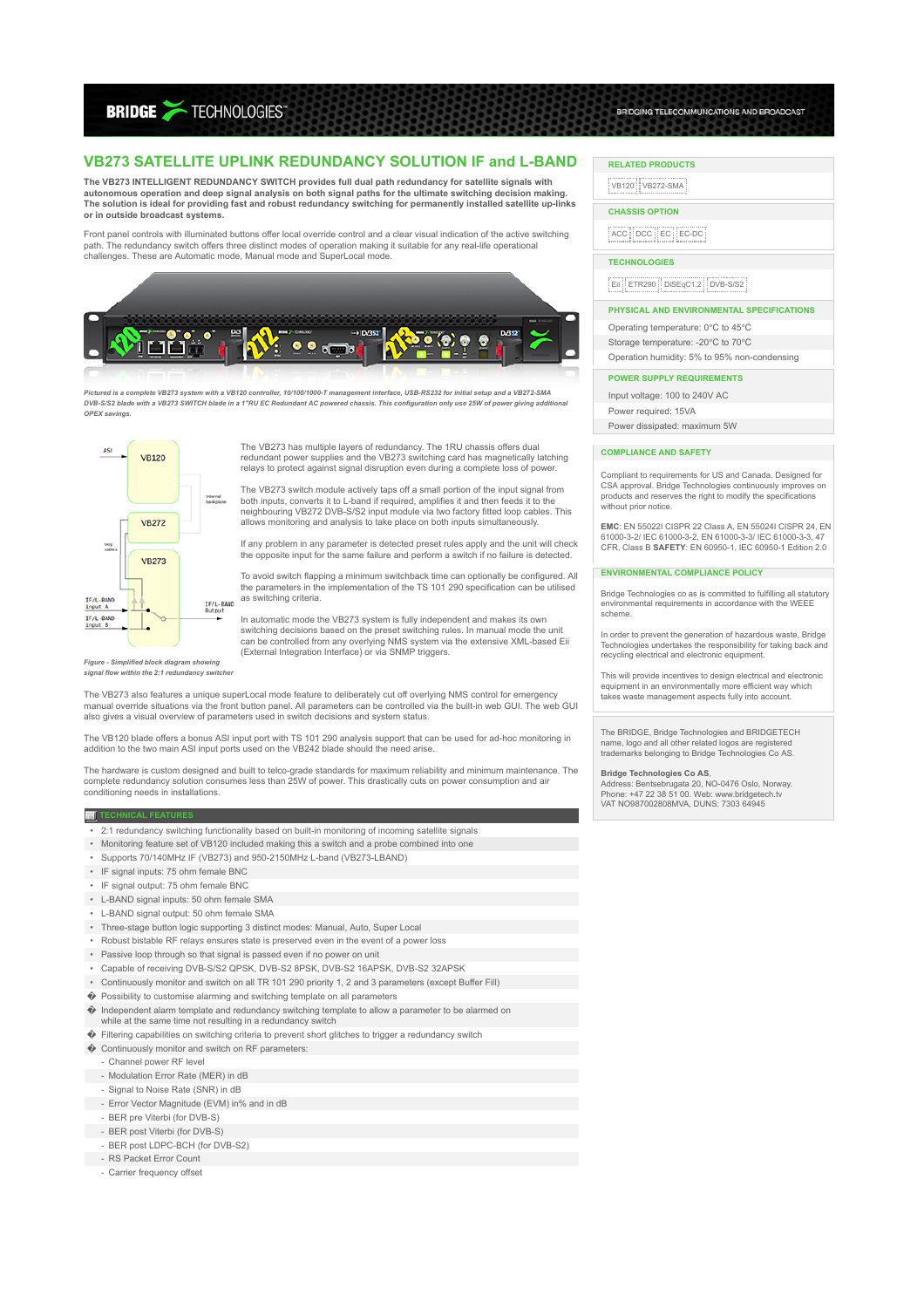**BRIDGE >TECHNOLOGIES** 

# **VB273 SATELLITE UPLINK REDUNDANCY SOLUTION IF and L-BAND**

**The VB273 INTELLIGENT REDUNDANCY SWITCH provides full dual path redundancy for satellite signals with autonomous operation and deep signal analysis on both signal paths for the ultimate switching decision making. The solution is ideal for providing fast and robust redundancy switching for permanently installed satellite up-links or in outside broadcast systems.**

Front panel controls with illuminated buttons offer local override control and a clear visual indication of the active switching path. The redundancy switch offers three distinct modes of operation making it suitable for any real-life operational challenges. These are Automatic mode, Manual mode and SuperLocal mode.



*Pictured is a complete VB273 system with a VB120 controller, 10/100/1000-T management interface, USB-RS232 for initial setup and a VB272-SMA DVB-S/S2 blade with a VB273 SWITCH blade in a 1"RU EC Redundant AC powered chassis. This configuration only use 25W of power giving additional OPEX savings.*



The VB273 has multiple layers of redundancy. The 1RU chassis offers dual redundant power supplies and the VB273 switching card has magnetically latching relays to protect against signal disruption even during a complete loss of power.

The VB273 switch module actively taps off a small portion of the input signal from both inputs, converts it to L-band if required, amplifies it and then feeds it to the neighbouring VB272 DVB-S/S2 input module via two factory fitted loop cables. This allows monitoring and analysis to take place on both inputs simultaneously.

If any problem in any parameter is detected preset rules apply and the unit will check the opposite input for the same failure and perform a switch if no failure is detected.

To avoid switch flapping a minimum switchback time can optionally be configured. All the parameters in the implementation of the TS 101 290 specification can be utilised as switching criteria.

In automatic mode the VB273 system is fully independent and makes its own switching decisions based on the preset switching rules. In manual mode the unit can be controlled from any overlying NMS system via the extensive XML-based Eii (External Integration Interface) or via SNMP triggers.

*Figure - Simplified block diagram s* signal flow within the 2:1 redundancy switcher

The VB273 also features a unique superLocal mode feature to deliberately cut off overlying NMS control for emergency manual override situations via the front button panel. All parameters can be controlled via the built-in web GUI. The web GUI also gives a visual overview of parameters used in switch decisions and system status.

The VB120 blade offers a bonus ASI input port with TS 101 290 analysis support that can be used for ad-hoc monitoring in addition to the two main ASI input ports used on the VB242 blade should the need arise.

The hardware is custom designed and built to telco-grade standards for maximum reliability and minimum maintenance. The<br>complete redundancy solution consumes less than 25W of power. This drastically cuts on power consumpti conditioning needs in installations.

#### **TECHNICAL FEATURES**

- 2:1 redundancy switching functionality based on built-in monitoring of incoming satellite signals
- Monitoring feature set of VB120 included making this a switch and a probe combined into one
- Supports 70/140MHz IF (VB273) and 950-2150MHz L-band (VB273-LBAND)
- IF signal inputs: 75 ohm female BNC
- IF signal output: 75 ohm female BNC
- L-BAND signal inputs: 50 ohm female SMA
- L-BAND signal output: 50 ohm female SMA
- Three-stage button logic supporting 3 distinct modes: Manual, Auto, Super Local
- Robust bistable RF relays ensures state is preserved even in the event of a power loss
- Passive loop through so that signal is passed even if no power on unit
- Capable of receiving DVB-S/S2 QPSK, DVB-S2 8PSK, DVB-S2 16APSK, DVB-S2 32APSK
- Continuously monitor and switch on all TR 101 290 priority 1, 2 and 3 parameters (except Buffer Fill)
- � Possibility to customise alarming and switching template on all parameters
- 
- � Independent alarm template and redundancy switching template to allow a parameter to be alarmed on while at the same time not resulting in a redundancy switch
- � Filtering capabilities on switching criteria to prevent short glitches to trigger a redundancy switch
- � Continuously monitor and switch on RF parameters:
- Channel power RF level
- Modulation Error Rate (MER) in dB
- Signal to Noise Rate (SNR) in dB
- Error Vector Magnitude (EVM) in% and in dB
- 
- BER pre Viterbi (for DVB-S) - BER post Viterbi (for DVB-S)
- BER post LDPC-BCH (for DVB-S2)
- RS Packet Error Count
	-
	- Carrier frequency offset

## **RELATED PRODUCTS**

VB120 VB272-SMA

# **CHASSIS OPTION**

ACC DCC EC EC-DC

## **TECHNOLOGIES**

EII ETR290 DISEqC1.2 DVB-S/S2

#### **PHYSICAL AND ENVIRONMENTAL SPECIFICATIONS**

BRIDGING TELECOMMUNCATIONS AND BROADCAST

Operating temperature: 0℃ to 45℃ Storage temperature: -20℃ to 70℃

Operation humidity: 5% to 95% non-condensing

### **POWER SUPPLY REQUIREMENTS**

Input voltage: 100 to 240V AC Power required: 15VA

Power dissipated: maximum 5W

#### **COMPLIANCE AND SAFETY**

Compliant to requirements for US and Canada. Designed for CSA approval. Bridge Technologies continuously improves on products and reserves the right to modify the specifications saaste and recer

**EMC**: EN 55022I CISPR 22 Class A, EN 55024I CISPR 24, EN 61000-3-2/ IEC 61000-3-2, EN 61000-3-3/ IEC 61000-3-3, 47 CFR, Class B **SAFETY**: EN 60950-1, IEC 60950-1 Edition 2.0

#### **ENVIRONMENTAL COMPLIANCE POLICY**

Bridge Technologies co as is committed to fulfilling all statutory environmental requirements in accordance with the WEEE scheme.

In order to prevent the generation of hazardous waste. Bridge Technologies undertakes the responsibility for taking back and recycling electrical and electronic equipment.

This will provide incentives to design electrical and electronic equipment in an environmentally more efficient way which takes waste management aspects fully into account.

The BRIDGE, Bridge Technologies and BRIDGETECH name, logo and all other related logos are registered trademarks belonging to Bridge Technologies Co AS.

**Bridge Technologies Co AS,**<br>Address: Bentsebrugata 20, NO-0476 Oslo, Norway.<br>Phone: +47 22 38 51 00. Web: www.bridgetech.tv<br>VAT NO987002808MVA, DUNS: 7303 64945